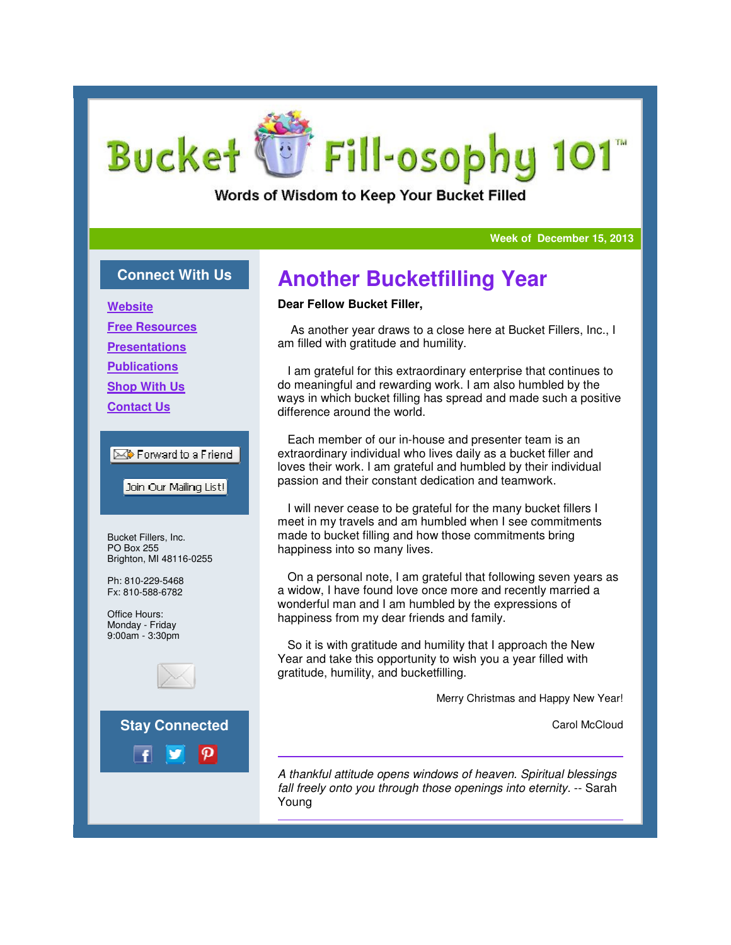# Fill-osophy 101 **Bucket**

Words of Wisdom to Keep Your Bucket Filled

#### **Week of December 15, 2013**

### **Connect With Us**

**Website**

**Free Resources**

**Presentations**

**Publications**

**Shop With Us**

**Contact Us**

### $\boxtimes$  Forward to a Friend

Join Our Mailing List!

Bucket Fillers, Inc. PO Box 255 Brighton, MI 48116-0255

Ph: 810-229-5468 Fx: 810-588-6782

Office Hours: Monday - Friday 9:00am - 3:30pm





# **Another Bucketfilling Year Another Bucketfilling**

### **Dear Fellow Bucket Filler,**

 As another year draws to a close here at Bucket Fillers, Inc., I am filled with gratitude and humility. I am filled with gratitude and humility.<br>I am grateful for this extraordinary enterprise that continues to<br>I am grateful for this extraordinary enterprise that continues to

do meaningful and rewarding work. I am also humbled by the ways in which bucket filling has spread and made such a positive difference around the world.

 Each member of our in-house and presenter team is an extraordinary individual who lives daily as a bucket filler and loves their work. I am grateful and humbled by their individual passion and their constant dedication and teamwork.

 I will never cease to be grateful for the many bucket fillers I meet in my travels and am humbled when I see commitments made to bucket filling and how those commitments bring happiness into so many lives.

 On a personal note, I am grateful that following seven years as a widow, I have found love once more and recently married a wonderful man and I am humbled by the expressions of happiness from my dear friends and family. do meaningful and rewarding work. I am also humbled by the<br>ways in which bucket filling has spread and made such a positive<br>difference around the world.<br>Each member of our in-house and presenter team is an<br>extraordinary in

 So it is with gratitude and humility that I approach the New Year and take this opportunity to wish you a year filled with gratitude, humility, and bucketfilling.

Merry Christmas and Happy New Year!

Carol McCloud

A thankful attitude opens windows of heaven. Spiritual blessings A thankful attitude opens windows of heaven. Spiritual blessings<br>fall freely onto you through those openings into eternity. -- Sarah Young